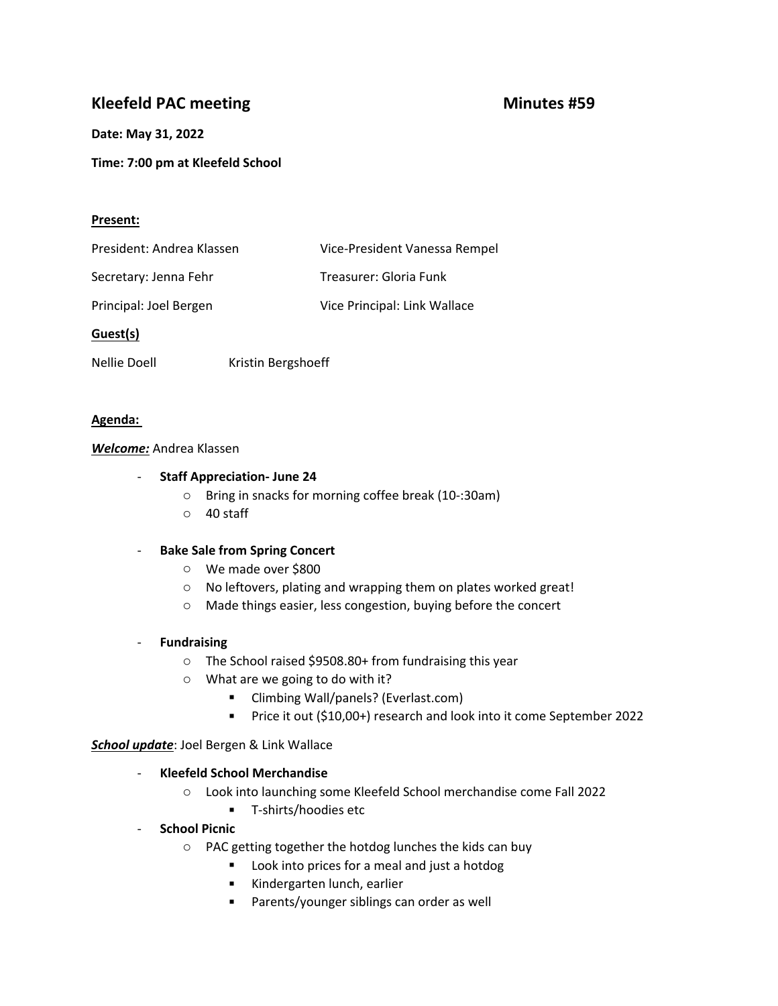# **Kleefeld PAC meeting Minutes #59**

# **Date: May 31, 2022**

**Time: 7:00 pm at Kleefeld School**

# **Present:**

| President: Andrea Klassen | Vice-President Vanessa Rempel |
|---------------------------|-------------------------------|
| Secretary: Jenna Fehr     | Treasurer: Gloria Funk        |
| Principal: Joel Bergen    | Vice Principal: Link Wallace  |

# **Guest(s)**

Nellie Doell Kristin Bergshoeff

# **Agenda:**

### *Welcome:* Andrea Klassen

# - **Staff Appreciation- June 24**

- o Bring in snacks for morning coffee break (10-:30am)
- o 40 staff

# - **Bake Sale from Spring Concert**

- o We made over \$800
- o No leftovers, plating and wrapping them on plates worked great!
- <sup>o</sup> Made things easier, less congestion, buying before the concert **Fundraising**

- o The School raised \$9508.80+ from fundraising this year
- o What are we going to do with it?
	- Climbing Wall/panels? (Everlast.com)
	- **Price it out (\$10,00+) research and look into it come September 2022**

*School update*: Joel Bergen & Link Wallace

### - **Kleefeld School Merchandise**

- o Look into launching some Kleefeld School merchandise come Fall 2022
	- **T**-shirts/hoodies etc

### - **School Picnic**

- o PAC getting together the hotdog lunches the kids can buy
	- **Look into prices for a meal and just a hotdog**
	- Kindergarten lunch, earlier
	- **Parents/younger siblings can order as well**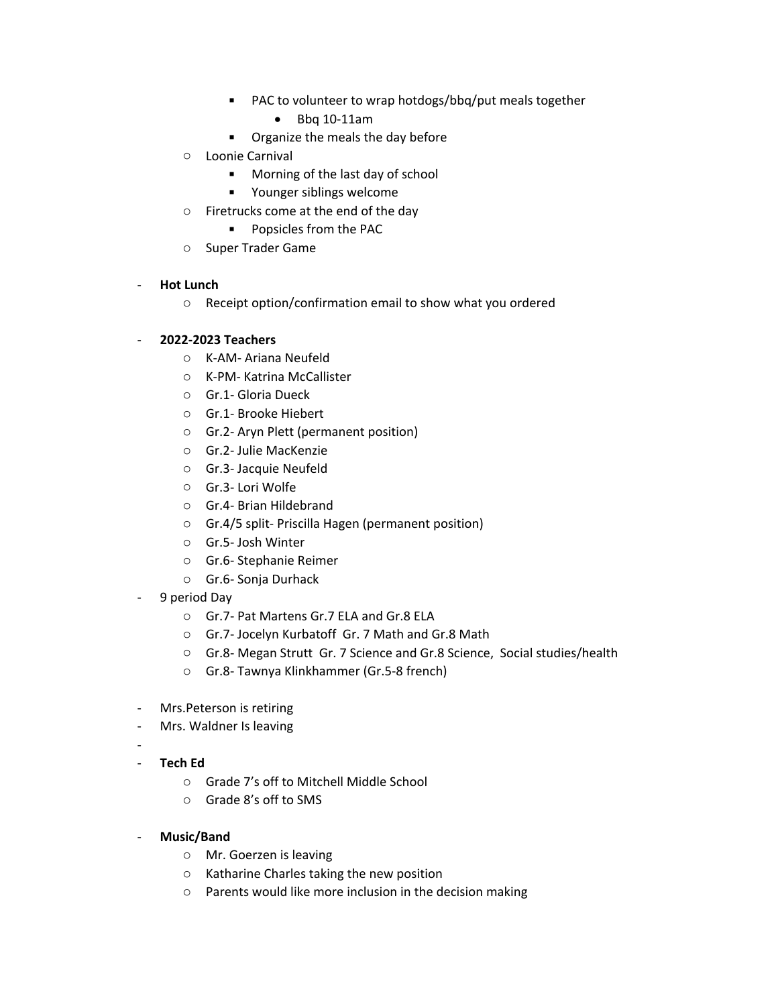- PAC to volunteer to wrap hotdogs/bbq/put meals together
	- Bbq 10-11am
- **•** Organize the meals the day before
- o Loonie Carnival
	- **Morning of the last day of school**
	- **•** Younger siblings welcome
- o Firetrucks come at the end of the day
	- **Popsicles from the PAC**
- o Super Trader Game

### - **Hot Lunch**

<sup>o</sup> Receipt option/confirmation email to show what you ordered - **2022-2023 Teachers**

- o K-AM- Ariana Neufeld
- o K-PM- Katrina McCallister
- o Gr.1- Gloria Dueck
- o Gr.1- Brooke Hiebert
- o Gr.2- Aryn Plett (permanent position)
- o Gr.2- Julie MacKenzie
- o Gr.3- Jacquie Neufeld
- o Gr.3- Lori Wolfe
- o Gr.4- Brian Hildebrand
- o Gr.4/5 split- Priscilla Hagen (permanent position)
- o Gr.5- Josh Winter
- o Gr.6- Stephanie Reimer
- o Gr.6- Sonja Durhack
- 9 period Day
	- o Gr.7- Pat Martens Gr.7 ELA and Gr.8 ELA
	- o Gr.7- Jocelyn Kurbatoff Gr. 7 Math and Gr.8 Math
	- o Gr.8- Megan Strutt Gr. 7 Science and Gr.8 Science, Social studies/health
	- o Gr.8- Tawnya Klinkhammer (Gr.5-8 french)
- Mrs.Peterson is retiring
- Mrs. Waldner Is leaving
- 
- **Tech Ed**
	- o Grade 7's off to Mitchell Middle School
	- o Grade 8's off to SMS
- **Music/Band**
	- o Mr. Goerzen is leaving
	- o Katharine Charles taking the new position
	- o Parents would like more inclusion in the decision making